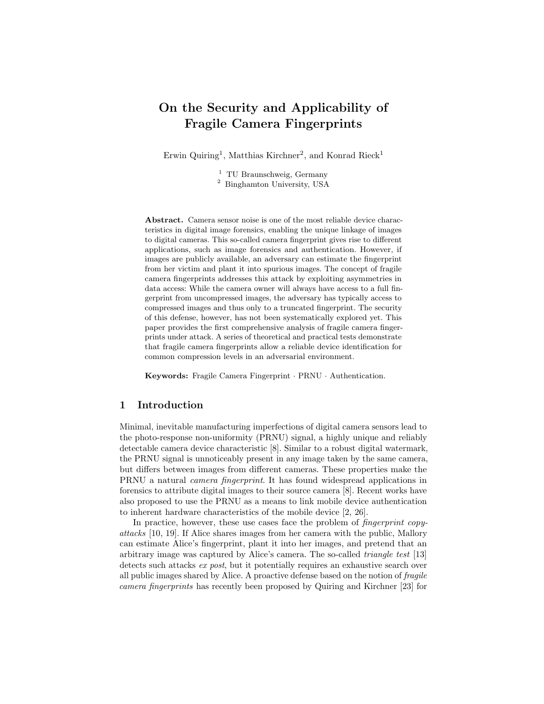# On the Security and Applicability of Fragile Camera Fingerprints

Erwin Quiring<sup>1</sup>, Matthias Kirchner<sup>2</sup>, and Konrad Rieck<sup>1</sup>

<sup>1</sup> TU Braunschweig, Germany <sup>2</sup> Binghamton University, USA

Abstract. Camera sensor noise is one of the most reliable device characteristics in digital image forensics, enabling the unique linkage of images to digital cameras. This so-called camera fingerprint gives rise to different applications, such as image forensics and authentication. However, if images are publicly available, an adversary can estimate the fingerprint from her victim and plant it into spurious images. The concept of fragile camera fingerprints addresses this attack by exploiting asymmetries in data access: While the camera owner will always have access to a full fingerprint from uncompressed images, the adversary has typically access to compressed images and thus only to a truncated fingerprint. The security of this defense, however, has not been systematically explored yet. This paper provides the first comprehensive analysis of fragile camera fingerprints under attack. A series of theoretical and practical tests demonstrate that fragile camera fingerprints allow a reliable device identification for common compression levels in an adversarial environment.

Keywords: Fragile Camera Fingerprint · PRNU · Authentication.

# 1 Introduction

Minimal, inevitable manufacturing imperfections of digital camera sensors lead to the photo-response non-uniformity (PRNU) signal, a highly unique and reliably detectable camera device characteristic [8]. Similar to a robust digital watermark, the PRNU signal is unnoticeably present in any image taken by the same camera, but differs between images from different cameras. These properties make the PRNU a natural camera fingerprint. It has found widespread applications in forensics to attribute digital images to their source camera [8]. Recent works have also proposed to use the PRNU as a means to link mobile device authentication to inherent hardware characteristics of the mobile device [2, 26].

In practice, however, these use cases face the problem of *fingerprint copy*attacks [10, 19]. If Alice shares images from her camera with the public, Mallory can estimate Alice's fingerprint, plant it into her images, and pretend that an arbitrary image was captured by Alice's camera. The so-called triangle test [13] detects such attacks ex post, but it potentially requires an exhaustive search over all public images shared by Alice. A proactive defense based on the notion of fragile camera fingerprints has recently been proposed by Quiring and Kirchner [23] for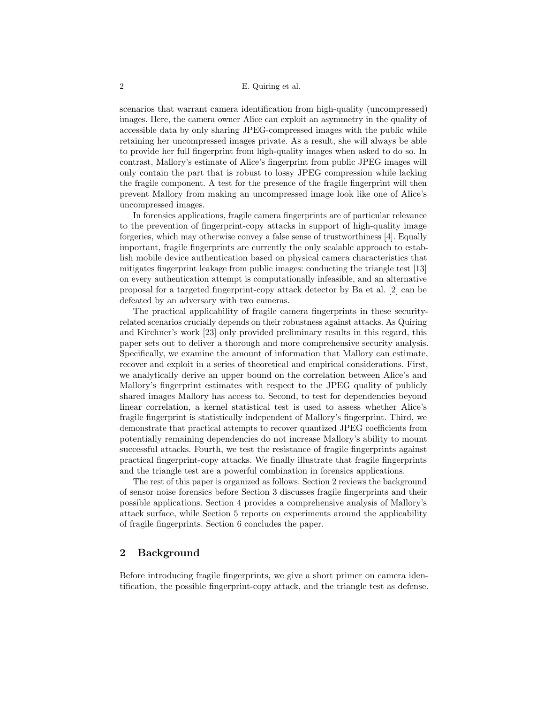scenarios that warrant camera identification from high-quality (uncompressed) images. Here, the camera owner Alice can exploit an asymmetry in the quality of accessible data by only sharing JPEG-compressed images with the public while retaining her uncompressed images private. As a result, she will always be able to provide her full fingerprint from high-quality images when asked to do so. In contrast, Mallory's estimate of Alice's fingerprint from public JPEG images will only contain the part that is robust to lossy JPEG compression while lacking the fragile component. A test for the presence of the fragile fingerprint will then prevent Mallory from making an uncompressed image look like one of Alice's uncompressed images.

In forensics applications, fragile camera fingerprints are of particular relevance to the prevention of fingerprint-copy attacks in support of high-quality image forgeries, which may otherwise convey a false sense of trustworthiness [4]. Equally important, fragile fingerprints are currently the only scalable approach to establish mobile device authentication based on physical camera characteristics that mitigates fingerprint leakage from public images: conducting the triangle test [13] on every authentication attempt is computationally infeasible, and an alternative proposal for a targeted fingerprint-copy attack detector by Ba et al. [2] can be defeated by an adversary with two cameras.

The practical applicability of fragile camera fingerprints in these securityrelated scenarios crucially depends on their robustness against attacks. As Quiring and Kirchner's work [23] only provided preliminary results in this regard, this paper sets out to deliver a thorough and more comprehensive security analysis. Specifically, we examine the amount of information that Mallory can estimate, recover and exploit in a series of theoretical and empirical considerations. First, we analytically derive an upper bound on the correlation between Alice's and Mallory's fingerprint estimates with respect to the JPEG quality of publicly shared images Mallory has access to. Second, to test for dependencies beyond linear correlation, a kernel statistical test is used to assess whether Alice's fragile fingerprint is statistically independent of Mallory's fingerprint. Third, we demonstrate that practical attempts to recover quantized JPEG coefficients from potentially remaining dependencies do not increase Mallory's ability to mount successful attacks. Fourth, we test the resistance of fragile fingerprints against practical fingerprint-copy attacks. We finally illustrate that fragile fingerprints and the triangle test are a powerful combination in forensics applications.

The rest of this paper is organized as follows. Section 2 reviews the background of sensor noise forensics before Section 3 discusses fragile fingerprints and their possible applications. Section 4 provides a comprehensive analysis of Mallory's attack surface, while Section 5 reports on experiments around the applicability of fragile fingerprints. Section 6 concludes the paper.

### 2 Background

Before introducing fragile fingerprints, we give a short primer on camera identification, the possible fingerprint-copy attack, and the triangle test as defense.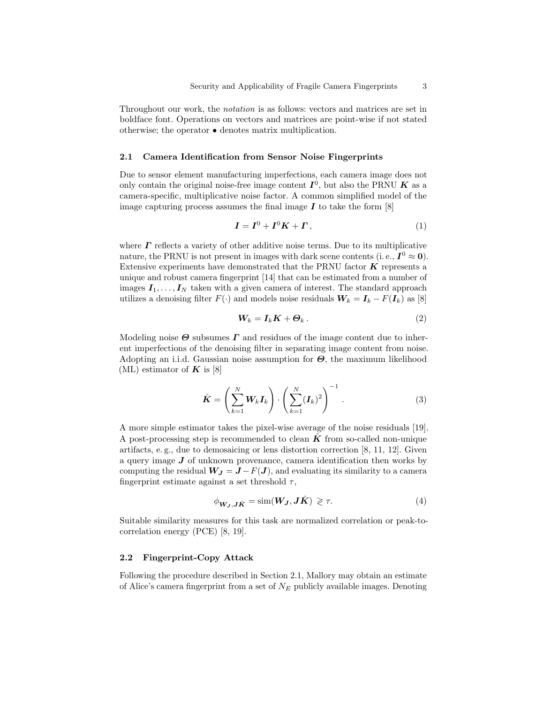Throughout our work, the notation is as follows: vectors and matrices are set in boldface font. Operations on vectors and matrices are point-wise if not stated otherwise; the operator • denotes matrix multiplication.

### 2.1 Camera Identification from Sensor Noise Fingerprints

Due to sensor element manufacturing imperfections, each camera image does not only contain the original noise-free image content  $I^0$ , but also the PRNU K as a camera-specific, multiplicative noise factor. A common simplified model of the image capturing process assumes the final image  $I$  to take the form [8]

$$
\boldsymbol{I} = \boldsymbol{I}^0 + \boldsymbol{I}^0 \boldsymbol{K} + \boldsymbol{\Gamma} \,, \tag{1}
$$

where  $\Gamma$  reflects a variety of other additive noise terms. Due to its multiplicative nature, the PRNU is not present in images with dark scene contents (i.e.,  $I^0 \approx 0$ ). Extensive experiments have demonstrated that the PRNU factor  $\boldsymbol{K}$  represents a unique and robust camera fingerprint [14] that can be estimated from a number of images  $I_1, \ldots, I_N$  taken with a given camera of interest. The standard approach utilizes a denoising filter  $F(\cdot)$  and models noise residuals  $W_k = I_k - F(I_k)$  as [8]

$$
W_k = I_k K + \Theta_k. \tag{2}
$$

Modeling noise  $\Theta$  subsumes  $\Gamma$  and residues of the image content due to inherent imperfections of the denoising filter in separating image content from noise. Adopting an i.i.d. Gaussian noise assumption for  $\Theta$ , the maximum likelihood (ML) estimator of  $\boldsymbol{K}$  is [8]

$$
\hat{\boldsymbol{K}} = \left(\sum_{k=1}^{N} \boldsymbol{W}_k \boldsymbol{I}_k\right) \cdot \left(\sum_{k=1}^{N} (\boldsymbol{I}_k)^2\right)^{-1} . \tag{3}
$$

A more simple estimator takes the pixel-wise average of the noise residuals [19]. A post-processing step is recommended to clean  $\hat{K}$  from so-called non-unique artifacts, e. g., due to demosaicing or lens distortion correction [8, 11, 12]. Given a query image  $J$  of unknown provenance, camera identification then works by computing the residual  $W_J = J - F(J)$ , and evaluating its similarity to a camera fingerprint estimate against a set threshold  $\tau$ ,

$$
\phi_{\mathbf{W}_{\mathbf{J}},\mathbf{J}\hat{\mathbf{K}}} = \text{sim}(\mathbf{W}_{\mathbf{J}},\mathbf{J}\hat{\mathbf{K}}) \ge \tau. \tag{4}
$$

Suitable similarity measures for this task are normalized correlation or peak-tocorrelation energy (PCE) [8, 19].

### 2.2 Fingerprint-Copy Attack

Following the procedure described in Section 2.1, Mallory may obtain an estimate of Alice's camera fingerprint from a set of  $N_E$  publicly available images. Denoting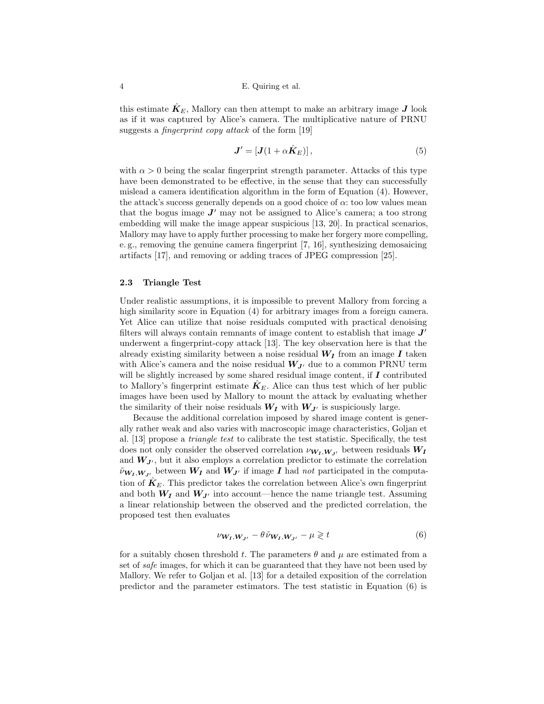this estimate  $\hat{K}_E$ , Mallory can then attempt to make an arbitrary image  $J$  look as if it was captured by Alice's camera. The multiplicative nature of PRNU suggests a fingerprint copy attack of the form [19]

$$
\mathbf{J}' = \left[ \mathbf{J} (1 + \alpha \hat{\mathbf{K}}_E) \right],\tag{5}
$$

with  $\alpha > 0$  being the scalar fingerprint strength parameter. Attacks of this type have been demonstrated to be effective, in the sense that they can successfully mislead a camera identification algorithm in the form of Equation (4). However, the attack's success generally depends on a good choice of  $\alpha$ : too low values mean that the bogus image  $J'$  may not be assigned to Alice's camera; a too strong embedding will make the image appear suspicious [13, 20]. In practical scenarios, Mallory may have to apply further processing to make her forgery more compelling, e. g., removing the genuine camera fingerprint [7, 16], synthesizing demosaicing artifacts [17], and removing or adding traces of JPEG compression [25].

### 2.3 Triangle Test

Under realistic assumptions, it is impossible to prevent Mallory from forcing a high similarity score in Equation (4) for arbitrary images from a foreign camera. Yet Alice can utilize that noise residuals computed with practical denoising filters will always contain remnants of image content to establish that image  $J'$ underwent a fingerprint-copy attack [13]. The key observation here is that the already existing similarity between a noise residual  $W_I$  from an image I taken with Alice's camera and the noise residual  $W_{J'}$  due to a common PRNU term will be slightly increased by some shared residual image content, if  $I$  contributed to Mallory's fingerprint estimate  $K_E$ . Alice can thus test which of her public images have been used by Mallory to mount the attack by evaluating whether the similarity of their noise residuals  $W_I$  with  $W_{J'}$  is suspiciously large.

Because the additional correlation imposed by shared image content is generally rather weak and also varies with macroscopic image characteristics, Goljan et al. [13] propose a triangle test to calibrate the test statistic. Specifically, the test does not only consider the observed correlation  $\nu_{\mathbf{W}_I,\mathbf{W}_I}$ , between residuals  $\mathbf{W}_I$ and  $W_{J'}$ , but it also employs a correlation predictor to estimate the correlation  $\tilde{\nu}_{W_I,W_{J'}}$  between  $W_I$  and  $W_{J'}$  if image I had not participated in the computation of  $\hat{K}_E$ . This predictor takes the correlation between Alice's own fingerprint and both  $W_I$  and  $W_{J'}$  into account—hence the name triangle test. Assuming a linear relationship between the observed and the predicted correlation, the proposed test then evaluates

$$
\nu_{\mathbf{W}_I, \mathbf{W}_{J'}} - \theta \tilde{\nu}_{\mathbf{W}_I, \mathbf{W}_{J'}} - \mu \geqslant t \tag{6}
$$

for a suitably chosen threshold t. The parameters  $\theta$  and  $\mu$  are estimated from a set of safe images, for which it can be guaranteed that they have not been used by Mallory. We refer to Goljan et al. [13] for a detailed exposition of the correlation predictor and the parameter estimators. The test statistic in Equation (6) is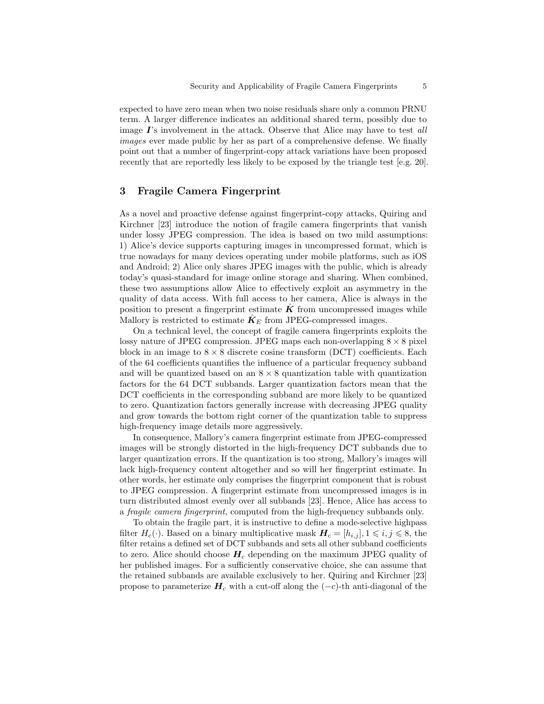expected to have zero mean when two noise residuals share only a common PRNU term. A larger difference indicates an additional shared term, possibly due to image  $\mathbf{I}'$ 's involvement in the attack. Observe that Alice may have to test all images ever made public by her as part of a comprehensive defense. We finally point out that a number of fingerprint-copy attack variations have been proposed recently that are reportedly less likely to be exposed by the triangle test [e.g. 20].

# 3 Fragile Camera Fingerprint

As a novel and proactive defense against fingerprint-copy attacks, Quiring and Kirchner [23] introduce the notion of fragile camera fingerprints that vanish under lossy JPEG compression. The idea is based on two mild assumptions: 1) Alice's device supports capturing images in uncompressed format, which is true nowadays for many devices operating under mobile platforms, such as iOS and Android; 2) Alice only shares JPEG images with the public, which is already today's quasi-standard for image online storage and sharing. When combined, these two assumptions allow Alice to effectively exploit an asymmetry in the quality of data access. With full access to her camera, Alice is always in the position to present a fingerprint estimate  $\hat{K}$  from uncompressed images while Mallory is restricted to estimate  $\hat{K}_E$  from JPEG-compressed images.

On a technical level, the concept of fragile camera fingerprints exploits the lossy nature of JPEG compression. JPEG maps each non-overlapping  $8 \times 8$  pixel block in an image to  $8 \times 8$  discrete cosine transform (DCT) coefficients. Each of the 64 coefficients quantifies the influence of a particular frequency subband and will be quantized based on an  $8 \times 8$  quantization table with quantization factors for the 64 DCT subbands. Larger quantization factors mean that the DCT coefficients in the corresponding subband are more likely to be quantized to zero. Quantization factors generally increase with decreasing JPEG quality and grow towards the bottom right corner of the quantization table to suppress high-frequency image details more aggressively.

In consequence, Mallory's camera fingerprint estimate from JPEG-compressed images will be strongly distorted in the high-frequency DCT subbands due to larger quantization errors. If the quantization is too strong, Mallory's images will lack high-frequency content altogether and so will her fingerprint estimate. In other words, her estimate only comprises the fingerprint component that is robust to JPEG compression. A fingerprint estimate from uncompressed images is in turn distributed almost evenly over all subbands [23]. Hence, Alice has access to a fragile camera fingerprint, computed from the high-frequency subbands only.

To obtain the fragile part, it is instructive to define a mode-selective highpass filter  $H_c(\cdot)$ . Based on a binary multiplicative mask  $H_c = [h_{i,j}], 1 \leq i, j \leq 8$ , the filter retains a defined set of DCT subbands and sets all other subband coefficients to zero. Alice should choose  $H_c$  depending on the maximum JPEG quality of her published images. For a sufficiently conservative choice, she can assume that the retained subbands are available exclusively to her. Quiring and Kirchner [23] propose to parameterize  $H_c$  with a cut-off along the (-c)-th anti-diagonal of the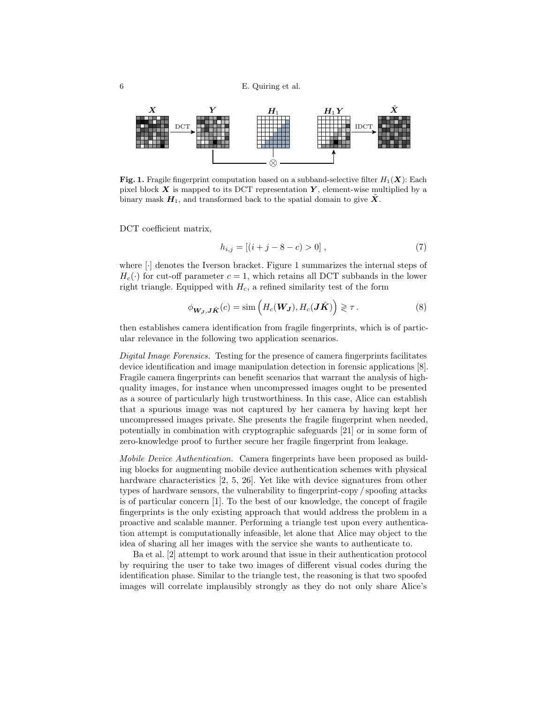

**Fig. 1.** Fragile fingerprint computation based on a subband-selective filter  $H_1(X)$ : Each pixel block  $X$  is mapped to its DCT representation  $Y$ , element-wise multiplied by a binary mask  $H_1$ , and transformed back to the spatial domain to give  $\tilde{X}$ .

DCT coefficient matrix,

$$
h_{i,j} = [(i+j-8-c) > 0], \qquad (7)
$$

where [·] denotes the Iverson bracket. Figure 1 summarizes the internal steps of  $H_c(\cdot)$  for cut-off parameter  $c = 1$ , which retains all DCT subbands in the lower right triangle. Equipped with  $H_c$ , a refined similarity test of the form

$$
\phi_{\mathbf{W}_{\mathbf{J}},\mathbf{J}\hat{\mathbf{K}}}(c) = \text{sim}\left(H_c(\mathbf{W}_{\mathbf{J}}), H_c(\mathbf{J}\hat{\mathbf{K}})\right) \geq \tau.
$$
\n(8)

then establishes camera identification from fragile fingerprints, which is of particular relevance in the following two application scenarios.

Digital Image Forensics. Testing for the presence of camera fingerprints facilitates device identification and image manipulation detection in forensic applications [8]. Fragile camera fingerprints can benefit scenarios that warrant the analysis of highquality images, for instance when uncompressed images ought to be presented as a source of particularly high trustworthiness. In this case, Alice can establish that a spurious image was not captured by her camera by having kept her uncompressed images private. She presents the fragile fingerprint when needed, potentially in combination with cryptographic safeguards [21] or in some form of zero-knowledge proof to further secure her fragile fingerprint from leakage.

Mobile Device Authentication. Camera fingerprints have been proposed as building blocks for augmenting mobile device authentication schemes with physical hardware characteristics [2, 5, 26]. Yet like with device signatures from other types of hardware sensors, the vulnerability to fingerprint-copy / spoofing attacks is of particular concern [1]. To the best of our knowledge, the concept of fragile fingerprints is the only existing approach that would address the problem in a proactive and scalable manner. Performing a triangle test upon every authentication attempt is computationally infeasible, let alone that Alice may object to the idea of sharing all her images with the service she wants to authenticate to.

Ba et al. [2] attempt to work around that issue in their authentication protocol by requiring the user to take two images of different visual codes during the identification phase. Similar to the triangle test, the reasoning is that two spoofed images will correlate implausibly strongly as they do not only share Alice's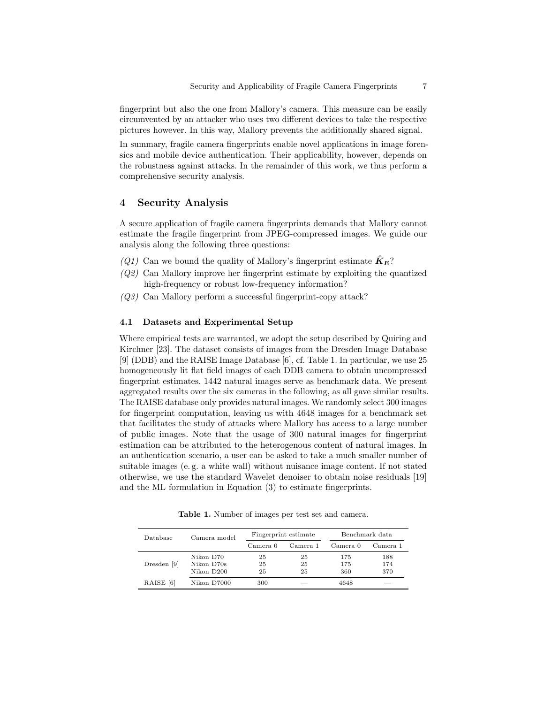fingerprint but also the one from Mallory's camera. This measure can be easily circumvented by an attacker who uses two different devices to take the respective pictures however. In this way, Mallory prevents the additionally shared signal.

In summary, fragile camera fingerprints enable novel applications in image forensics and mobile device authentication. Their applicability, however, depends on the robustness against attacks. In the remainder of this work, we thus perform a comprehensive security analysis.

# 4 Security Analysis

A secure application of fragile camera fingerprints demands that Mallory cannot estimate the fragile fingerprint from JPEG-compressed images. We guide our analysis along the following three questions:

- (Q1) Can we bound the quality of Mallory's fingerprint estimate  $K_E$ ?
- (Q2) Can Mallory improve her fingerprint estimate by exploiting the quantized high-frequency or robust low-frequency information?
- $(Q3)$  Can Mallory perform a successful fingerprint-copy attack?

### 4.1 Datasets and Experimental Setup

Where empirical tests are warranted, we adopt the setup described by Quiring and Kirchner [23]. The dataset consists of images from the Dresden Image Database [9] (DDB) and the RAISE Image Database [6], cf. Table 1. In particular, we use 25 homogeneously lit flat field images of each DDB camera to obtain uncompressed fingerprint estimates. 1442 natural images serve as benchmark data. We present aggregated results over the six cameras in the following, as all gave similar results. The RAISE database only provides natural images. We randomly select 300 images for fingerprint computation, leaving us with 4648 images for a benchmark set that facilitates the study of attacks where Mallory has access to a large number of public images. Note that the usage of 300 natural images for fingerprint estimation can be attributed to the heterogenous content of natural images. In an authentication scenario, a user can be asked to take a much smaller number of suitable images (e. g. a white wall) without nuisance image content. If not stated otherwise, we use the standard Wavelet denoiser to obtain noise residuals [19] and the ML formulation in Equation (3) to estimate fingerprints.

Table 1. Number of images per test set and camera.

| Database             | Camera model                                      |                | Fingerprint estimate | Benchmark data    |                   |  |
|----------------------|---------------------------------------------------|----------------|----------------------|-------------------|-------------------|--|
|                      |                                                   | Camera 0       | Camera 1             | Camera 0          | Camera 1          |  |
| Dresden [9]          | Nikon D70<br>Nikon D70s<br>Nikon D <sub>200</sub> | 25<br>25<br>25 | 25<br>25<br>25       | 175<br>175<br>360 | 188<br>174<br>370 |  |
| RAISE <sup>[6]</sup> | Nikon D7000                                       | 300            | ___                  | 4648              | ____              |  |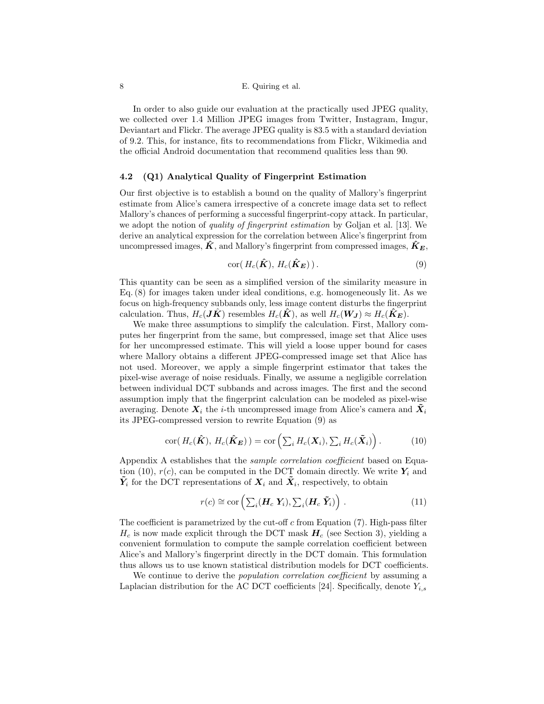In order to also guide our evaluation at the practically used JPEG quality, we collected over 1.4 Million JPEG images from Twitter, Instagram, Imgur, Deviantart and Flickr. The average JPEG quality is 83.5 with a standard deviation of 9.2. This, for instance, fits to recommendations from Flickr, Wikimedia and the official Android documentation that recommend qualities less than 90.

### 4.2 (Q1) Analytical Quality of Fingerprint Estimation

Our first objective is to establish a bound on the quality of Mallory's fingerprint estimate from Alice's camera irrespective of a concrete image data set to reflect Mallory's chances of performing a successful fingerprint-copy attack. In particular, we adopt the notion of quality of fingerprint estimation by Goljan et al. [13]. We derive an analytical expression for the correlation between Alice's fingerprint from uncompressed images,  $\hat{K}$ , and Mallory's fingerprint from compressed images,  $\hat{K}_E$ ,

$$
\operatorname{cor}(\,H_c(\hat{\boldsymbol{K}}),\,H_c(\hat{\boldsymbol{K}}_{\boldsymbol{E}})\,)\,. \tag{9}
$$

This quantity can be seen as a simplified version of the similarity measure in Eq.(8) for images taken under ideal conditions, e.g. homogeneously lit. As we focus on high-frequency subbands only, less image content disturbs the fingerprint calculation. Thus,  $H_c(\mathbf{J}\hat{\mathbf{K}})$  resembles  $H_c(\hat{\mathbf{K}})$ , as well  $H_c(\mathbf{W}_J) \approx H_c(\hat{\mathbf{K}}_F)$ .

We make three assumptions to simplify the calculation. First, Mallory computes her fingerprint from the same, but compressed, image set that Alice uses for her uncompressed estimate. This will yield a loose upper bound for cases where Mallory obtains a different JPEG-compressed image set that Alice has not used. Moreover, we apply a simple fingerprint estimator that takes the pixel-wise average of noise residuals. Finally, we assume a negligible correlation between individual DCT subbands and across images. The first and the second assumption imply that the fingerprint calculation can be modeled as pixel-wise averaging. Denote  $X_i$  the *i*-th uncompressed image from Alice's camera and  $X_i$ its JPEG-compressed version to rewrite Equation (9) as

$$
\operatorname{cor}(\,H_c(\hat{\boldsymbol{K}}),\,H_c(\hat{\boldsymbol{K}}_{\boldsymbol{E}})\,) = \operatorname{cor}\left(\sum_i H_c(\boldsymbol{X}_i),\sum_i H_c(\tilde{\boldsymbol{X}}_i)\right). \tag{10}
$$

Appendix A establishes that the sample correlation coefficient based on Equation (10),  $r(c)$ , can be computed in the DCT domain directly. We write  $Y_i$  and  $\tilde{Y}_i$  for the DCT representations of  $X_i$  and  $\tilde{X}_i$ , respectively, to obtain

$$
r(c) \cong \text{cor}\left(\sum_{i}(\boldsymbol{H}_{c} \ \boldsymbol{Y}_{i}), \sum_{i}(\boldsymbol{H}_{c} \ \boldsymbol{\tilde{Y}}_{i})\right). \tag{11}
$$

The coefficient is parametrized by the cut-off  $c$  from Equation  $(7)$ . High-pass filter  $H_c$  is now made explicit through the DCT mask  $H_c$  (see Section 3), yielding a convenient formulation to compute the sample correlation coefficient between Alice's and Mallory's fingerprint directly in the DCT domain. This formulation thus allows us to use known statistical distribution models for DCT coefficients.

We continue to derive the *population correlation coefficient* by assuming a Laplacian distribution for the AC DCT coefficients [24]. Specifically, denote  $Y_{i,s}$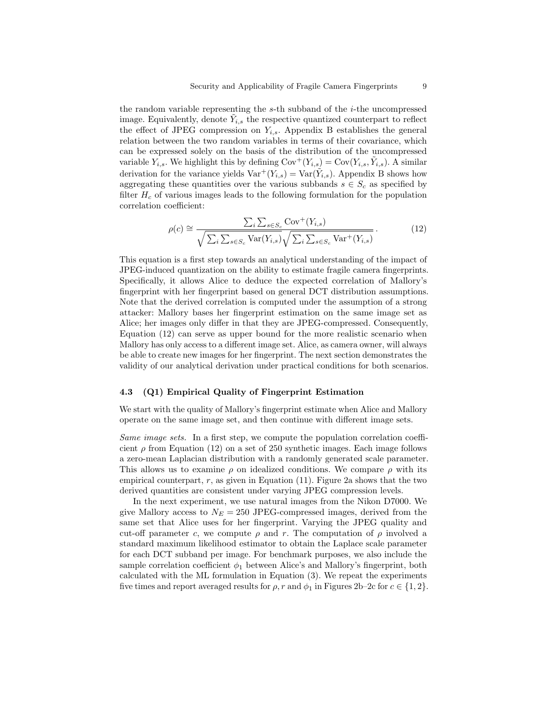the random variable representing the  $s$ -th subband of the  $i$ -the uncompressed image. Equivalently, denote  $\tilde{Y}_{i,s}$  the respective quantized counterpart to reflect the effect of JPEG compression on  $Y_{i,s}$ . Appendix B establishes the general relation between the two random variables in terms of their covariance, which can be expressed solely on the basis of the distribution of the uncompressed variable  $Y_{i,s}$ . We highlight this by defining  $\text{Cov}^+(Y_{i,s}) = \text{Cov}(Y_{i,s}, \tilde{Y}_{i,s})$ . A similar derivation for the variance yields  $\text{Var}^+(Y_{i,s}) = \text{Var}(\tilde{Y}_{i,s})$ . Appendix B shows how aggregating these quantities over the various subbands  $s \in S_c$  as specified by filter  $H_c$  of various images leads to the following formulation for the population correlation coefficient:

$$
\rho(c) \cong \frac{\sum_{i} \sum_{s \in S_c} \text{Cov}^+(Y_{i,s})}{\sqrt{\sum_{i} \sum_{s \in S_c} \text{Var}(Y_{i,s})} \sqrt{\sum_{i} \sum_{s \in S_c} \text{Var}^+(Y_{i,s})}}.
$$
(12)

This equation is a first step towards an analytical understanding of the impact of JPEG-induced quantization on the ability to estimate fragile camera fingerprints. Specifically, it allows Alice to deduce the expected correlation of Mallory's fingerprint with her fingerprint based on general DCT distribution assumptions. Note that the derived correlation is computed under the assumption of a strong attacker: Mallory bases her fingerprint estimation on the same image set as Alice; her images only differ in that they are JPEG-compressed. Consequently, Equation (12) can serve as upper bound for the more realistic scenario when Mallory has only access to a different image set. Alice, as camera owner, will always be able to create new images for her fingerprint. The next section demonstrates the validity of our analytical derivation under practical conditions for both scenarios.

### 4.3 (Q1) Empirical Quality of Fingerprint Estimation

We start with the quality of Mallory's fingerprint estimate when Alice and Mallory operate on the same image set, and then continue with different image sets.

Same image sets. In a first step, we compute the population correlation coefficient  $\rho$  from Equation (12) on a set of 250 synthetic images. Each image follows a zero-mean Laplacian distribution with a randomly generated scale parameter. This allows us to examine  $\rho$  on idealized conditions. We compare  $\rho$  with its empirical counterpart,  $r$ , as given in Equation (11). Figure 2a shows that the two derived quantities are consistent under varying JPEG compression levels.

In the next experiment, we use natural images from the Nikon D7000. We give Mallory access to  $N_E = 250$  JPEG-compressed images, derived from the same set that Alice uses for her fingerprint. Varying the JPEG quality and cut-off parameter c, we compute  $\rho$  and r. The computation of  $\rho$  involved a standard maximum likelihood estimator to obtain the Laplace scale parameter for each DCT subband per image. For benchmark purposes, we also include the sample correlation coefficient  $\phi_1$  between Alice's and Mallory's fingerprint, both calculated with the ML formulation in Equation (3). We repeat the experiments five times and report averaged results for  $\rho$ , r and  $\phi_1$  in Figures 2b–2c for  $c \in \{1, 2\}$ .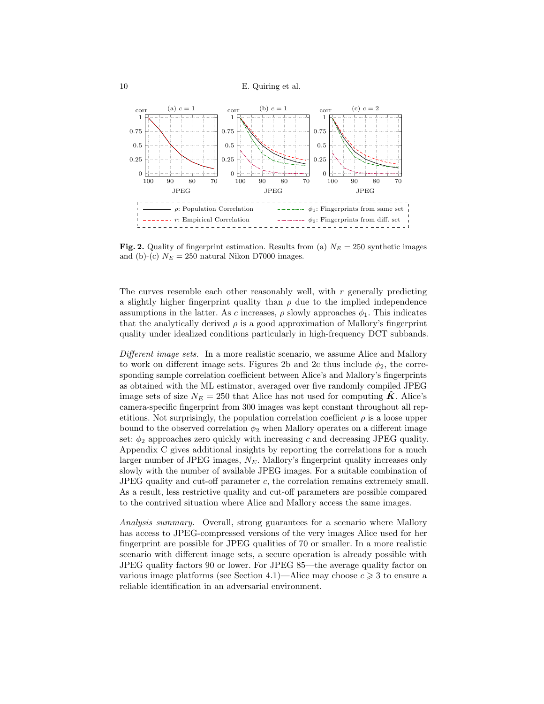10 E. Quiring et al.



Fig. 2. Quality of fingerprint estimation. Results from (a)  $N_E = 250$  synthetic images and (b)-(c)  $N_E = 250$  natural Nikon D7000 images.

The curves resemble each other reasonably well, with  $r$  generally predicting a slightly higher fingerprint quality than  $\rho$  due to the implied independence assumptions in the latter. As c increases,  $\rho$  slowly approaches  $\phi_1$ . This indicates that the analytically derived  $\rho$  is a good approximation of Mallory's fingerprint quality under idealized conditions particularly in high-frequency DCT subbands.

Different image sets. In a more realistic scenario, we assume Alice and Mallory to work on different image sets. Figures 2b and 2c thus include  $\phi_2$ , the corresponding sample correlation coefficient between Alice's and Mallory's fingerprints as obtained with the ML estimator, averaged over five randomly compiled JPEG image sets of size  $N_E = 250$  that Alice has not used for computing  $\hat{K}$ . Alice's camera-specific fingerprint from 300 images was kept constant throughout all repetitions. Not surprisingly, the population correlation coefficient  $\rho$  is a loose upper bound to the observed correlation  $\phi_2$  when Mallory operates on a different image set:  $\phi_2$  approaches zero quickly with increasing c and decreasing JPEG quality. Appendix C gives additional insights by reporting the correlations for a much larger number of JPEG images,  $N_E$ . Mallory's fingerprint quality increases only slowly with the number of available JPEG images. For a suitable combination of JPEG quality and cut-off parameter c, the correlation remains extremely small. As a result, less restrictive quality and cut-off parameters are possible compared to the contrived situation where Alice and Mallory access the same images.

Analysis summary. Overall, strong guarantees for a scenario where Mallory has access to JPEG-compressed versions of the very images Alice used for her fingerprint are possible for JPEG qualities of 70 or smaller. In a more realistic scenario with different image sets, a secure operation is already possible with JPEG quality factors 90 or lower. For JPEG 85—the average quality factor on various image platforms (see Section 4.1)—Alice may choose  $c \geq 3$  to ensure a reliable identification in an adversarial environment.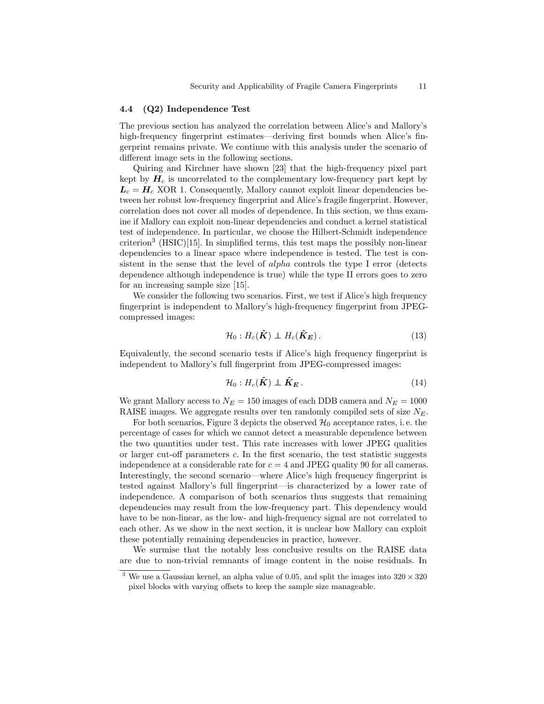### 4.4 (Q2) Independence Test

The previous section has analyzed the correlation between Alice's and Mallory's high-frequency fingerprint estimates—deriving first bounds when Alice's fingerprint remains private. We continue with this analysis under the scenario of different image sets in the following sections.

Quiring and Kirchner have shown [23] that the high-frequency pixel part kept by  $H_c$  is uncorrelated to the complementary low-frequency part kept by  $L_c = H_c$  XOR 1. Consequently, Mallory cannot exploit linear dependencies between her robust low-frequency fingerprint and Alice's fragile fingerprint. However, correlation does not cover all modes of dependence. In this section, we thus examine if Mallory can exploit non-linear dependencies and conduct a kernel statistical test of independence. In particular, we choose the Hilbert-Schmidt independence criterion<sup>3</sup> (HSIC)[15]. In simplified terms, this test maps the possibly non-linear dependencies to a linear space where independence is tested. The test is consistent in the sense that the level of *alpha* controls the type I error (detects dependence although independence is true) while the type II errors goes to zero for an increasing sample size [15].

We consider the following two scenarios. First, we test if Alice's high frequency fingerprint is independent to Mallory's high-frequency fingerprint from JPEGcompressed images:

$$
\mathcal{H}_0: H_c(\hat{\boldsymbol{K}}) \perp H_c(\hat{\boldsymbol{K}}_{\boldsymbol{E}}).
$$
\n(13)

Equivalently, the second scenario tests if Alice's high frequency fingerprint is independent to Mallory's full fingerprint from JPEG-compressed images:

$$
\mathcal{H}_0: H_c(\hat{\boldsymbol{K}}) \perp \hat{\boldsymbol{K}}_{\boldsymbol{E}}.
$$
\n(14)

We grant Mallory access to  $N_E = 150$  images of each DDB camera and  $N_E = 1000$ RAISE images. We aggregate results over ten randomly compiled sets of size  $N_E$ .

For both scenarios, Figure 3 depicts the observed  $\mathcal{H}_0$  acceptance rates, i.e. the percentage of cases for which we cannot detect a measurable dependence between the two quantities under test. This rate increases with lower JPEG qualities or larger cut-off parameters c. In the first scenario, the test statistic suggests independence at a considerable rate for  $c = 4$  and JPEG quality 90 for all cameras. Interestingly, the second scenario—where Alice's high frequency fingerprint is tested against Mallory's full fingerprint—is characterized by a lower rate of independence. A comparison of both scenarios thus suggests that remaining dependencies may result from the low-frequency part. This dependency would have to be non-linear, as the low- and high-frequency signal are not correlated to each other. As we show in the next section, it is unclear how Mallory can exploit these potentially remaining dependencies in practice, however.

We surmise that the notably less conclusive results on the RAISE data are due to non-trivial remnants of image content in the noise residuals. In

<sup>&</sup>lt;sup>3</sup> We use a Gaussian kernel, an alpha value of 0.05, and split the images into  $320 \times 320$ pixel blocks with varying offsets to keep the sample size manageable.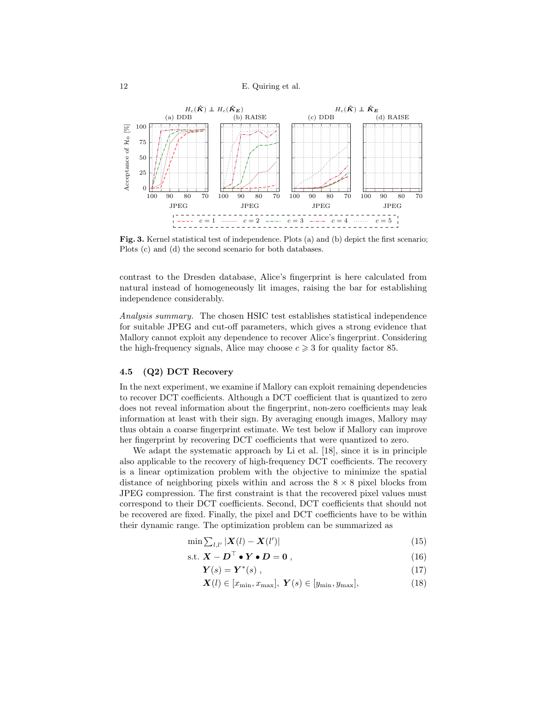12 E. Quiring et al.



Fig. 3. Kernel statistical test of independence. Plots (a) and (b) depict the first scenario; Plots (c) and (d) the second scenario for both databases.

contrast to the Dresden database, Alice's fingerprint is here calculated from natural instead of homogeneously lit images, raising the bar for establishing independence considerably.

Analysis summary. The chosen HSIC test establishes statistical independence for suitable JPEG and cut-off parameters, which gives a strong evidence that Mallory cannot exploit any dependence to recover Alice's fingerprint. Considering the high-frequency signals, Alice may choose  $c \geq 3$  for quality factor 85.

# 4.5 (Q2) DCT Recovery

In the next experiment, we examine if Mallory can exploit remaining dependencies to recover DCT coefficients. Although a DCT coefficient that is quantized to zero does not reveal information about the fingerprint, non-zero coefficients may leak information at least with their sign. By averaging enough images, Mallory may thus obtain a coarse fingerprint estimate. We test below if Mallory can improve her fingerprint by recovering DCT coefficients that were quantized to zero.

We adapt the systematic approach by Li et al. [18], since it is in principle also applicable to the recovery of high-frequency DCT coefficients. The recovery is a linear optimization problem with the objective to minimize the spatial distance of neighboring pixels within and across the  $8 \times 8$  pixel blocks from JPEG compression. The first constraint is that the recovered pixel values must correspond to their DCT coefficients. Second, DCT coefficients that should not be recovered are fixed. Finally, the pixel and DCT coefficients have to be within their dynamic range. The optimization problem can be summarized as

$$
\min \sum_{l,l'} |\boldsymbol{X}(l) - \boldsymbol{X}(l')| \tag{15}
$$

$$
\text{s.t. } \mathbf{X} - \mathbf{D}^{\top} \bullet \mathbf{Y} \bullet \mathbf{D} = \mathbf{0} \,, \tag{16}
$$

$$
\mathbf{Y}(s) = \mathbf{Y}^*(s) \tag{17}
$$

 $\mathbf{X}(l) \in [x_{\min}, x_{\max}], \ \mathbf{Y}(s) \in [y_{\min}, y_{\max}],$ (18)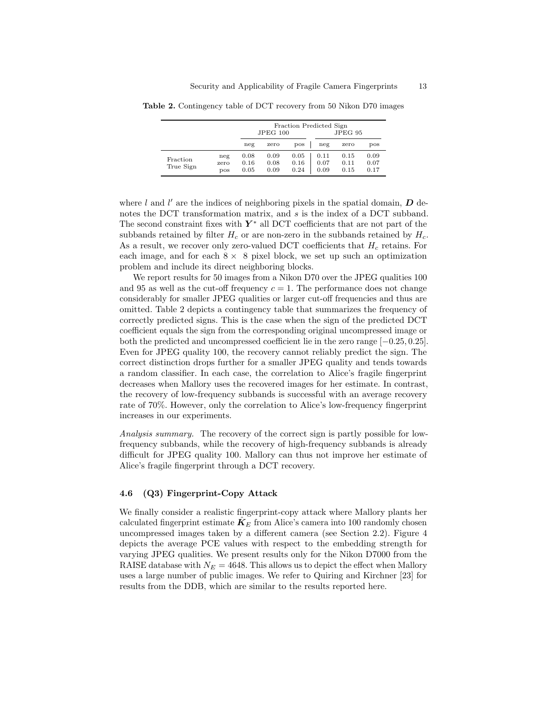|                       |                    | JPEG 100             |                      |                      | Fraction Predicted Sign<br>JPEG 95 |                      |                      |
|-----------------------|--------------------|----------------------|----------------------|----------------------|------------------------------------|----------------------|----------------------|
|                       |                    | neg                  | zero                 | pos                  | neg                                | zero                 | pos                  |
| Fraction<br>True Sign | neg<br>zero<br>pos | 0.08<br>0.16<br>0.05 | 0.09<br>0.08<br>0.09 | 0.05<br>0.16<br>0.24 | 0.11<br>0.07<br>0.09               | 0.15<br>0.11<br>0.15 | 0.09<br>0.07<br>0.17 |

Table 2. Contingency table of DCT recovery from 50 Nikon D70 images

where  $l$  and  $l'$  are the indices of neighboring pixels in the spatial domain,  $D$  denotes the DCT transformation matrix, and s is the index of a DCT subband. The second constraint fixes with  $Y^*$  all DCT coefficients that are not part of the subbands retained by filter  $H_c$  or are non-zero in the subbands retained by  $H_c$ . As a result, we recover only zero-valued DCT coefficients that  $H_c$  retains. For each image, and for each  $8 \times 8$  pixel block, we set up such an optimization problem and include its direct neighboring blocks.

We report results for 50 images from a Nikon D70 over the JPEG qualities 100 and 95 as well as the cut-off frequency  $c = 1$ . The performance does not change considerably for smaller JPEG qualities or larger cut-off frequencies and thus are omitted. Table 2 depicts a contingency table that summarizes the frequency of correctly predicted signs. This is the case when the sign of the predicted DCT coefficient equals the sign from the corresponding original uncompressed image or both the predicted and uncompressed coefficient lie in the zero range [−0.25, 0.25]. Even for JPEG quality 100, the recovery cannot reliably predict the sign. The correct distinction drops further for a smaller JPEG quality and tends towards a random classifier. In each case, the correlation to Alice's fragile fingerprint decreases when Mallory uses the recovered images for her estimate. In contrast, the recovery of low-frequency subbands is successful with an average recovery rate of 70%. However, only the correlation to Alice's low-frequency fingerprint increases in our experiments.

Analysis summary. The recovery of the correct sign is partly possible for lowfrequency subbands, while the recovery of high-frequency subbands is already difficult for JPEG quality 100. Mallory can thus not improve her estimate of Alice's fragile fingerprint through a DCT recovery.

# 4.6 (Q3) Fingerprint-Copy Attack

We finally consider a realistic fingerprint-copy attack where Mallory plants her calculated fingerprint estimate  $\hat{K}_E$  from Alice's camera into 100 randomly chosen uncompressed images taken by a different camera (see Section 2.2). Figure 4 depicts the average PCE values with respect to the embedding strength for varying JPEG qualities. We present results only for the Nikon D7000 from the RAISE database with  $N_E = 4648$ . This allows us to depict the effect when Mallory uses a large number of public images. We refer to Quiring and Kirchner [23] for results from the DDB, which are similar to the results reported here.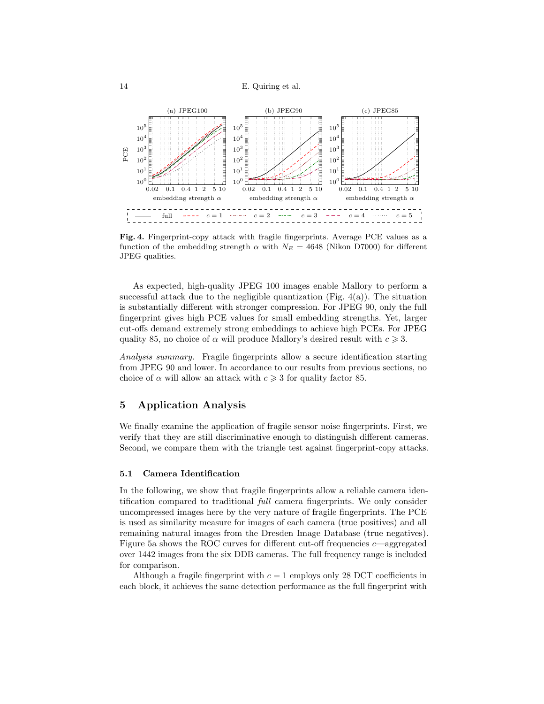



Fig. 4. Fingerprint-copy attack with fragile fingerprints. Average PCE values as a function of the embedding strength  $\alpha$  with  $N_E = 4648$  (Nikon D7000) for different JPEG qualities.

As expected, high-quality JPEG 100 images enable Mallory to perform a successful attack due to the negligible quantization (Fig.  $4(a)$ ). The situation is substantially different with stronger compression. For JPEG 90, only the full fingerprint gives high PCE values for small embedding strengths. Yet, larger cut-offs demand extremely strong embeddings to achieve high PCEs. For JPEG quality 85, no choice of  $\alpha$  will produce Mallory's desired result with  $c \geq 3$ .

Analysis summary. Fragile fingerprints allow a secure identification starting from JPEG 90 and lower. In accordance to our results from previous sections, no choice of  $\alpha$  will allow an attack with  $c \geqslant 3$  for quality factor 85.

# 5 Application Analysis

We finally examine the application of fragile sensor noise fingerprints. First, we verify that they are still discriminative enough to distinguish different cameras. Second, we compare them with the triangle test against fingerprint-copy attacks.

### 5.1 Camera Identification

In the following, we show that fragile fingerprints allow a reliable camera identification compared to traditional full camera fingerprints. We only consider uncompressed images here by the very nature of fragile fingerprints. The PCE is used as similarity measure for images of each camera (true positives) and all remaining natural images from the Dresden Image Database (true negatives). Figure 5a shows the ROC curves for different cut-off frequencies  $c$ —aggregated over 1442 images from the six DDB cameras. The full frequency range is included for comparison.

Although a fragile fingerprint with  $c = 1$  employs only 28 DCT coefficients in each block, it achieves the same detection performance as the full fingerprint with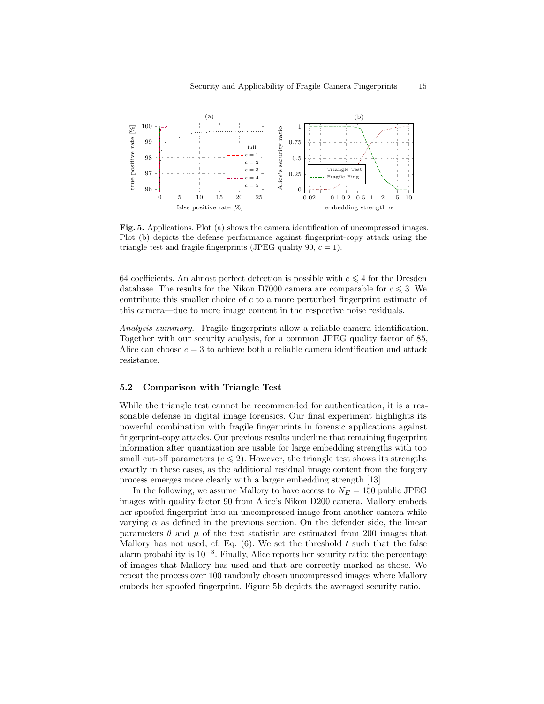

Fig. 5. Applications. Plot (a) shows the camera identification of uncompressed images. Plot (b) depicts the defense performance against fingerprint-copy attack using the triangle test and fragile fingerprints (JPEG quality 90,  $c = 1$ ).

64 coefficients. An almost perfect detection is possible with  $c \leq 4$  for the Dresden database. The results for the Nikon D7000 camera are comparable for  $c \leq 3$ . We contribute this smaller choice of c to a more perturbed fingerprint estimate of this camera—due to more image content in the respective noise residuals.

Analysis summary. Fragile fingerprints allow a reliable camera identification. Together with our security analysis, for a common JPEG quality factor of 85, Alice can choose  $c = 3$  to achieve both a reliable camera identification and attack resistance.

### 5.2 Comparison with Triangle Test

While the triangle test cannot be recommended for authentication, it is a reasonable defense in digital image forensics. Our final experiment highlights its powerful combination with fragile fingerprints in forensic applications against fingerprint-copy attacks. Our previous results underline that remaining fingerprint information after quantization are usable for large embedding strengths with too small cut-off parameters  $(c \leq 2)$ . However, the triangle test shows its strengths exactly in these cases, as the additional residual image content from the forgery process emerges more clearly with a larger embedding strength [13].

In the following, we assume Mallory to have access to  $N_E = 150$  public JPEG images with quality factor 90 from Alice's Nikon D200 camera. Mallory embeds her spoofed fingerprint into an uncompressed image from another camera while varying  $\alpha$  as defined in the previous section. On the defender side, the linear parameters  $\theta$  and  $\mu$  of the test statistic are estimated from 200 images that Mallory has not used, cf. Eq.  $(6)$ . We set the threshold t such that the false alarm probability is 10<sup>−</sup><sup>3</sup> . Finally, Alice reports her security ratio: the percentage of images that Mallory has used and that are correctly marked as those. We repeat the process over 100 randomly chosen uncompressed images where Mallory embeds her spoofed fingerprint. Figure 5b depicts the averaged security ratio.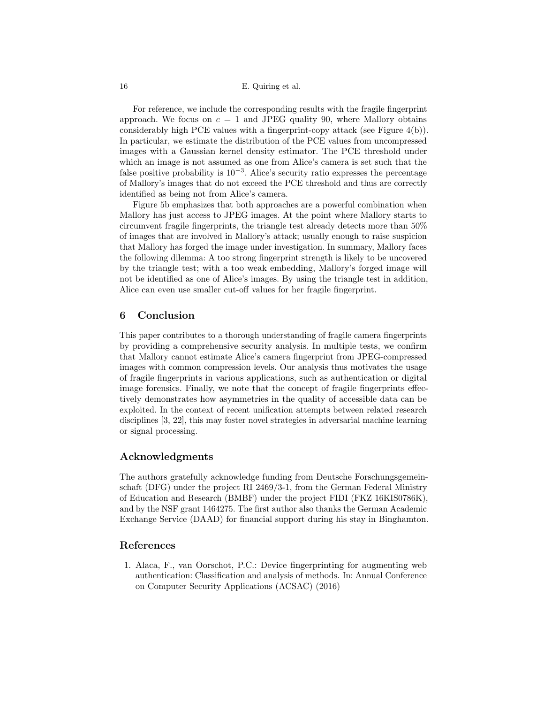For reference, we include the corresponding results with the fragile fingerprint approach. We focus on  $c = 1$  and JPEG quality 90, where Mallory obtains considerably high PCE values with a fingerprint-copy attack (see Figure 4(b)). In particular, we estimate the distribution of the PCE values from uncompressed images with a Gaussian kernel density estimator. The PCE threshold under which an image is not assumed as one from Alice's camera is set such that the false positive probability is  $10^{-3}$ . Alice's security ratio expresses the percentage of Mallory's images that do not exceed the PCE threshold and thus are correctly identified as being not from Alice's camera.

Figure 5b emphasizes that both approaches are a powerful combination when Mallory has just access to JPEG images. At the point where Mallory starts to circumvent fragile fingerprints, the triangle test already detects more than 50% of images that are involved in Mallory's attack; usually enough to raise suspicion that Mallory has forged the image under investigation. In summary, Mallory faces the following dilemma: A too strong fingerprint strength is likely to be uncovered by the triangle test; with a too weak embedding, Mallory's forged image will not be identified as one of Alice's images. By using the triangle test in addition, Alice can even use smaller cut-off values for her fragile fingerprint.

### 6 Conclusion

This paper contributes to a thorough understanding of fragile camera fingerprints by providing a comprehensive security analysis. In multiple tests, we confirm that Mallory cannot estimate Alice's camera fingerprint from JPEG-compressed images with common compression levels. Our analysis thus motivates the usage of fragile fingerprints in various applications, such as authentication or digital image forensics. Finally, we note that the concept of fragile fingerprints effectively demonstrates how asymmetries in the quality of accessible data can be exploited. In the context of recent unification attempts between related research disciplines [3, 22], this may foster novel strategies in adversarial machine learning or signal processing.

### Acknowledgments

The authors gratefully acknowledge funding from Deutsche Forschungsgemeinschaft (DFG) under the project RI 2469/3-1, from the German Federal Ministry of Education and Research (BMBF) under the project FIDI (FKZ 16KIS0786K), and by the NSF grant 1464275. The first author also thanks the German Academic Exchange Service (DAAD) for financial support during his stay in Binghamton.

# References

1. Alaca, F., van Oorschot, P.C.: Device fingerprinting for augmenting web authentication: Classification and analysis of methods. In: Annual Conference on Computer Security Applications (ACSAC) (2016)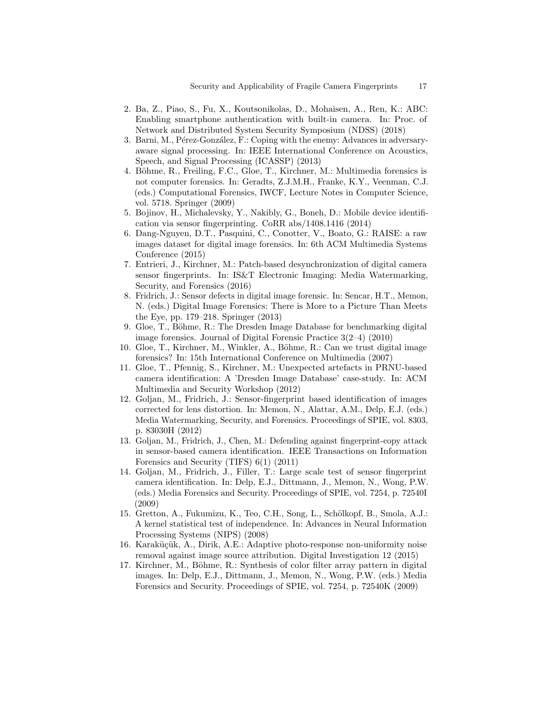- 2. Ba, Z., Piao, S., Fu, X., Koutsonikolas, D., Mohaisen, A., Ren, K.: ABC: Enabling smartphone authentication with built-in camera. In: Proc. of Network and Distributed System Security Symposium (NDSS) (2018)
- 3. Barni, M., Pérez-González, F.: Coping with the enemy: Advances in adversaryaware signal processing. In: IEEE International Conference on Acoustics, Speech, and Signal Processing (ICASSP) (2013)
- 4. Böhme, R., Freiling, F.C., Gloe, T., Kirchner, M.: Multimedia forensics is not computer forensics. In: Geradts, Z.J.M.H., Franke, K.Y., Veenman, C.J. (eds.) Computational Forensics, IWCF, Lecture Notes in Computer Science, vol. 5718. Springer (2009)
- 5. Bojinov, H., Michalevsky, Y., Nakibly, G., Boneh, D.: Mobile device identification via sensor fingerprinting. CoRR abs/1408.1416 (2014)
- 6. Dang-Nguyen, D.T., Pasquini, C., Conotter, V., Boato, G.: RAISE: a raw images dataset for digital image forensics. In: 6th ACM Multimedia Systems Conference (2015)
- 7. Entrieri, J., Kirchner, M.: Patch-based desynchronization of digital camera sensor fingerprints. In: IS&T Electronic Imaging: Media Watermarking, Security, and Forensics (2016)
- 8. Fridrich, J.: Sensor defects in digital image forensic. In: Sencar, H.T., Memon, N. (eds.) Digital Image Forensics: There is More to a Picture Than Meets the Eye, pp. 179–218. Springer (2013)
- 9. Gloe, T., Böhme, R.: The Dresden Image Database for benchmarking digital image forensics. Journal of Digital Forensic Practice 3(2–4) (2010)
- 10. Gloe, T., Kirchner, M., Winkler, A., Böhme, R.: Can we trust digital image forensics? In: 15th International Conference on Multimedia (2007)
- 11. Gloe, T., Pfennig, S., Kirchner, M.: Unexpected artefacts in PRNU-based camera identification: A 'Dresden Image Database' case-study. In: ACM Multimedia and Security Workshop (2012)
- 12. Goljan, M., Fridrich, J.: Sensor-fingerprint based identification of images corrected for lens distortion. In: Memon, N., Alattar, A.M., Delp, E.J. (eds.) Media Watermarking, Security, and Forensics. Proceedings of SPIE, vol. 8303, p. 83030H (2012)
- 13. Goljan, M., Fridrich, J., Chen, M.: Defending against fingerprint-copy attack in sensor-based camera identification. IEEE Transactions on Information Forensics and Security (TIFS) 6(1) (2011)
- 14. Goljan, M., Fridrich, J., Filler, T.: Large scale test of sensor fingerprint camera identification. In: Delp, E.J., Dittmann, J., Memon, N., Wong, P.W. (eds.) Media Forensics and Security. Proceedings of SPIE, vol. 7254, p. 72540I (2009)
- 15. Gretton, A., Fukumizu, K., Teo, C.H., Song, L., Schölkopf, B., Smola, A.J.: A kernel statistical test of independence. In: Advances in Neural Information Processing Systems (NIPS) (2008)
- 16. Karaküçük, A., Dirik, A.E.: Adaptive photo-response non-uniformity noise removal against image source attribution. Digital Investigation 12 (2015)
- 17. Kirchner, M., Böhme, R.: Synthesis of color filter array pattern in digital images. In: Delp, E.J., Dittmann, J., Memon, N., Wong, P.W. (eds.) Media Forensics and Security. Proceedings of SPIE, vol. 7254, p. 72540K (2009)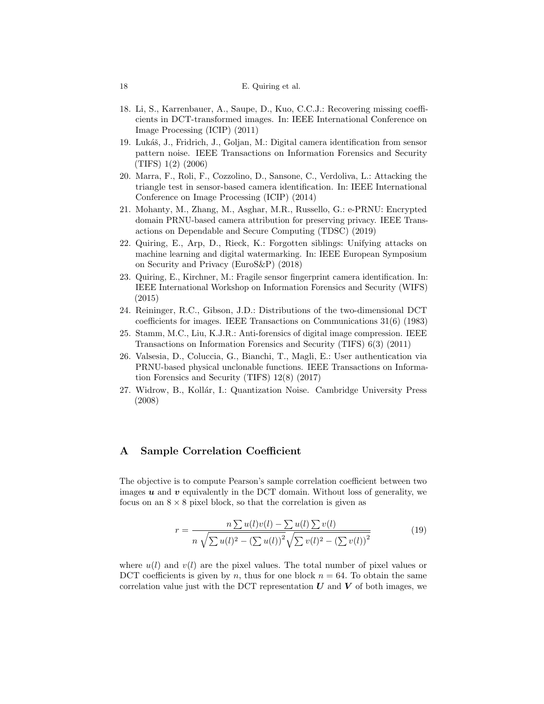- 18. Li, S., Karrenbauer, A., Saupe, D., Kuo, C.C.J.: Recovering missing coefficients in DCT-transformed images. In: IEEE International Conference on Image Processing (ICIP) (2011)
- 19. Lukáš, J., Fridrich, J., Goljan, M.: Digital camera identification from sensor pattern noise. IEEE Transactions on Information Forensics and Security (TIFS) 1(2) (2006)
- 20. Marra, F., Roli, F., Cozzolino, D., Sansone, C., Verdoliva, L.: Attacking the triangle test in sensor-based camera identification. In: IEEE International Conference on Image Processing (ICIP) (2014)
- 21. Mohanty, M., Zhang, M., Asghar, M.R., Russello, G.: e-PRNU: Encrypted domain PRNU-based camera attribution for preserving privacy. IEEE Transactions on Dependable and Secure Computing (TDSC) (2019)
- 22. Quiring, E., Arp, D., Rieck, K.: Forgotten siblings: Unifying attacks on machine learning and digital watermarking. In: IEEE European Symposium on Security and Privacy (EuroS&P) (2018)
- 23. Quiring, E., Kirchner, M.: Fragile sensor fingerprint camera identification. In: IEEE International Workshop on Information Forensics and Security (WIFS) (2015)
- 24. Reininger, R.C., Gibson, J.D.: Distributions of the two-dimensional DCT coefficients for images. IEEE Transactions on Communications 31(6) (1983)
- 25. Stamm, M.C., Liu, K.J.R.: Anti-forensics of digital image compression. IEEE Transactions on Information Forensics and Security (TIFS) 6(3) (2011)
- 26. Valsesia, D., Coluccia, G., Bianchi, T., Magli, E.: User authentication via PRNU-based physical unclonable functions. IEEE Transactions on Information Forensics and Security (TIFS) 12(8) (2017)
- 27. Widrow, B., Kollár, I.: Quantization Noise. Cambridge University Press (2008)

### A Sample Correlation Coefficient

The objective is to compute Pearson's sample correlation coefficient between two images  $u$  and  $v$  equivalently in the DCT domain. Without loss of generality, we focus on an  $8 \times 8$  pixel block, so that the correlation is given as

$$
r = \frac{n \sum u(l)v(l) - \sum u(l) \sum v(l)}{n \sqrt{\sum u(l)^2 - (\sum u(l))^2} \sqrt{\sum v(l)^2 - (\sum v(l))^2}}
$$
(19)

where  $u(l)$  and  $v(l)$  are the pixel values. The total number of pixel values or DCT coefficients is given by n, thus for one block  $n = 64$ . To obtain the same correlation value just with the DCT representation  $U$  and  $V$  of both images, we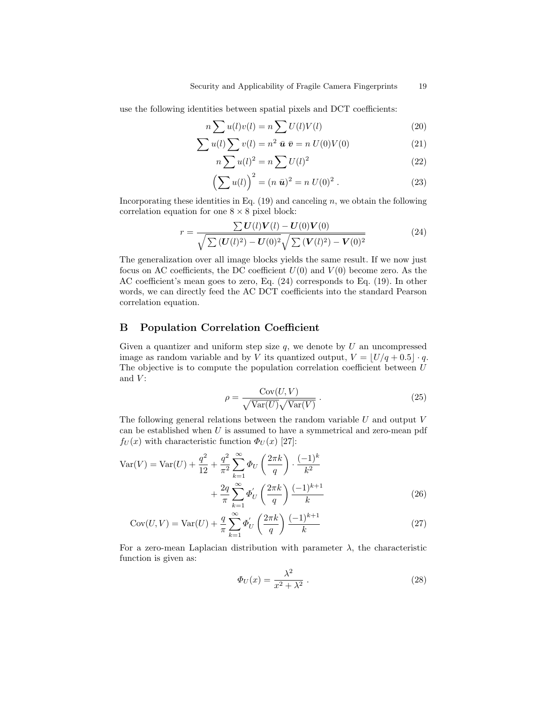use the following identities between spatial pixels and DCT coefficients:

$$
n\sum u(l)v(l) = n\sum U(l)V(l)
$$
\n(20)

$$
\sum u(l) \sum v(l) = n^2 \bar{u} \bar{v} = n U(0) V(0)
$$
\n(21)

$$
n\sum u(l)^2 = n\sum U(l)^2\tag{22}
$$

$$
\left(\sum u(l)\right)^2 = (n \ \bar{u})^2 = n U(0)^2 . \tag{23}
$$

Incorporating these identities in Eq.  $(19)$  and canceling n, we obtain the following correlation equation for one  $8 \times 8$  pixel block:

$$
r = \frac{\sum U(l)V(l) - U(0)V(0)}{\sqrt{\sum (U(l)^2) - U(0)^2} \sqrt{\sum (V(l)^2) - V(0)^2}}
$$
(24)

The generalization over all image blocks yields the same result. If we now just focus on AC coefficients, the DC coefficient  $U(0)$  and  $V(0)$  become zero. As the AC coefficient's mean goes to zero, Eq. (24) corresponds to Eq. (19). In other words, we can directly feed the AC DCT coefficients into the standard Pearson correlation equation.

# B Population Correlation Coefficient

Given a quantizer and uniform step size  $q$ , we denote by  $U$  an uncompressed image as random variable and by V its quantized output,  $V = |U/q + 0.5| \cdot q$ . The objective is to compute the population correlation coefficient between  $U$ and  $V$ :

$$
\rho = \frac{\text{Cov}(U, V)}{\sqrt{\text{Var}(U)} \sqrt{\text{Var}(V)}}.
$$
\n(25)

The following general relations between the random variable  $U$  and output  $V$ can be established when  $U$  is assumed to have a symmetrical and zero-mean pdf  $f_U(x)$  with characteristic function  $\Phi_U(x)$  [27]:

$$
Var(V) = Var(U) + \frac{q^2}{12} + \frac{q^2}{\pi^2} \sum_{k=1}^{\infty} \Phi_U \left(\frac{2\pi k}{q}\right) \cdot \frac{(-1)^k}{k^2} + \frac{2q}{\pi} \sum_{k=1}^{\infty} \Phi_U' \left(\frac{2\pi k}{q}\right) \frac{(-1)^{k+1}}{k}
$$
(26)

$$
Cov(U, V) = Var(U) + \frac{q}{\pi} \sum_{k=1}^{\infty} \Phi'_U \left(\frac{2\pi k}{q}\right) \frac{(-1)^{k+1}}{k}
$$
\n
$$
(27)
$$

For a zero-mean Laplacian distribution with parameter  $\lambda$ , the characteristic function is given as:

$$
\Phi_U(x) = \frac{\lambda^2}{x^2 + \lambda^2} \,. \tag{28}
$$